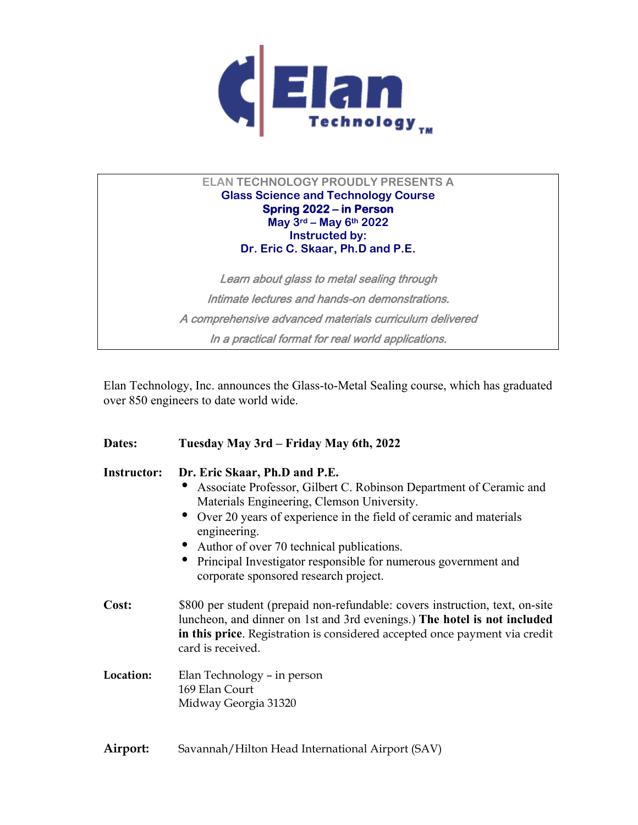

# **ELAN TECHNOLOGY PROUDLY PRESENTS A Glass Science and Technology Course Spring 2022 – in Person May 3rd – May 6th 2022 Instructed by: Dr. Eric C. Skaar, Ph.D and P.E.**

Learn about glass to metal sealing through Intimate lectures and hands-on demonstrations. A comprehensive advanced materials curriculum delivered In a practical format for real world applications.

Elan Technology, Inc. announces the Glass-to-Metal Sealing course, which has graduated over 850 engineers to date world wide.

| Dates:             | Tuesday May 3rd – Friday May 6th, 2022                                                                                                                                                                                                                                                                                                                                                             |  |
|--------------------|----------------------------------------------------------------------------------------------------------------------------------------------------------------------------------------------------------------------------------------------------------------------------------------------------------------------------------------------------------------------------------------------------|--|
| <b>Instructor:</b> | Dr. Eric Skaar, Ph.D and P.E.<br>Associate Professor, Gilbert C. Robinson Department of Ceramic and<br>Materials Engineering, Clemson University.<br>• Over 20 years of experience in the field of ceramic and materials<br>engineering.<br>• Author of over 70 technical publications.<br>Principal Investigator responsible for numerous government and<br>corporate sponsored research project. |  |
| Cost:              | \$800 per student (prepaid non-refundable: covers instruction, text, on-site<br>luncheon, and dinner on 1st and 3rd evenings.) The hotel is not included<br>in this price. Registration is considered accepted once payment via credit<br>card is received.                                                                                                                                        |  |
| Location:          | Elan Technology - in person<br>169 Elan Court<br>Midway Georgia 31320                                                                                                                                                                                                                                                                                                                              |  |
| Airport:           | Savannah/Hilton Head International Airport (SAV)                                                                                                                                                                                                                                                                                                                                                   |  |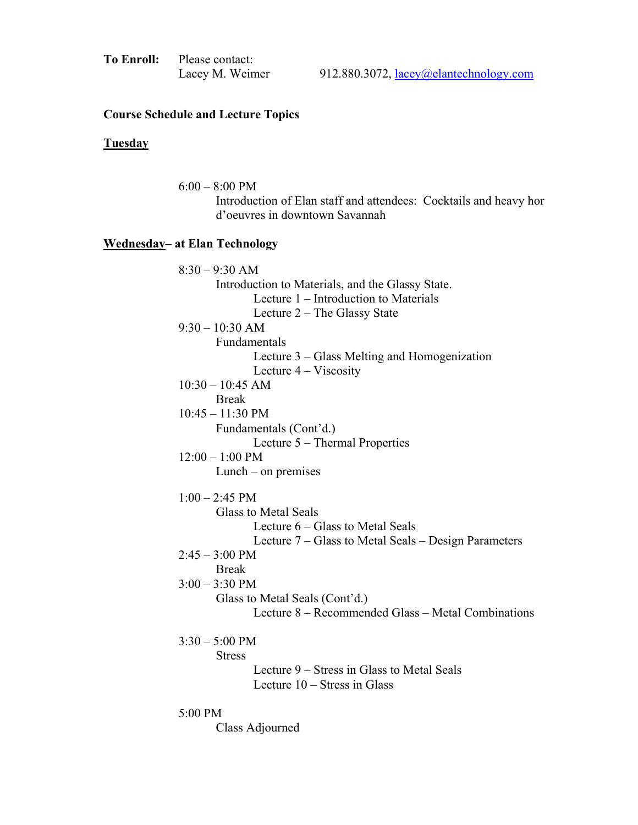| <b>To Enroll:</b> Please contact: |
|-----------------------------------|
| Lacey M. Weimer                   |

### **Course Schedule and Lecture Topics**

### **Tuesday**

 6:00 – 8:00 PM Introduction of Elan staff and attendees: Cocktails and heavy hor d'oeuvres in downtown Savannah **Wednesday– at Elan Technology**   $8:30 - 9:30$  AM Introduction to Materials, and the Glassy State. Lecture 1 – Introduction to Materials Lecture 2 – The Glassy State 9:30 – 10:30 AM Fundamentals Lecture 3 – Glass Melting and Homogenization Lecture 4 – Viscosity 10:30 – 10:45 AM Break 10:45 – 11:30 PM Fundamentals (Cont'd.) Lecture 5 – Thermal Properties 12:00 – 1:00 PM Lunch – on premises  $1:00 - 2:45$  PM Glass to Metal Seals Lecture 6 – Glass to Metal Seals Lecture 7 – Glass to Metal Seals – Design Parameters  $2:45 - 3:00 \text{ PM}$  Break 3:00 – 3:30 PM Glass to Metal Seals (Cont'd.) Lecture 8 – Recommended Glass – Metal Combinations  $3:30 - 5:00$  PM **Stress**  Lecture 9 – Stress in Glass to Metal Seals Lecture 10 – Stress in Glass 5:00 PM

Class Adjourned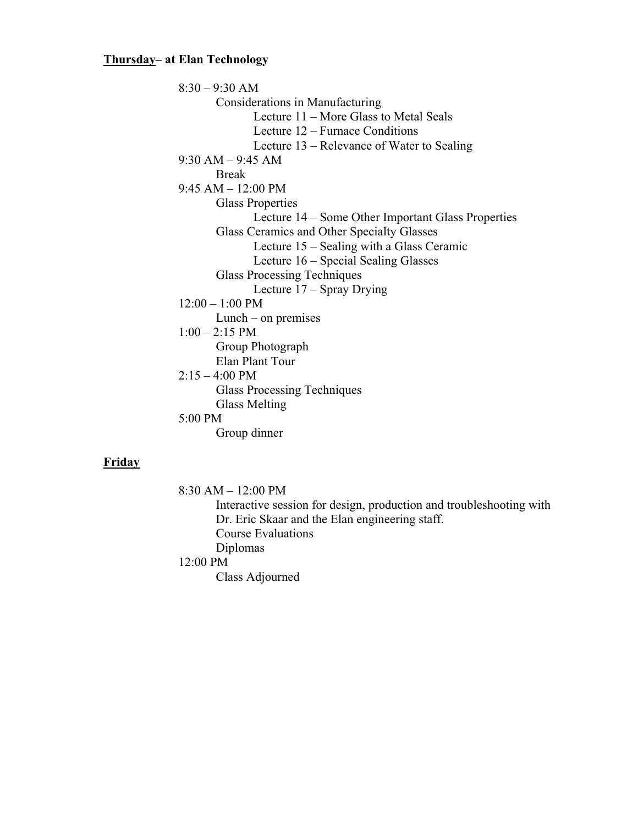## **Thursday– at Elan Technology**

8:30 – 9:30 AM Considerations in Manufacturing Lecture 11 – More Glass to Metal Seals Lecture 12 – Furnace Conditions Lecture 13 – Relevance of Water to Sealing 9:30 AM – 9:45 AM Break 9:45 AM – 12:00 PM Glass Properties Lecture 14 – Some Other Important Glass Properties Glass Ceramics and Other Specialty Glasses Lecture 15 – Sealing with a Glass Ceramic Lecture 16 – Special Sealing Glasses Glass Processing Techniques Lecture 17 – Spray Drying 12:00 – 1:00 PM Lunch – on premises 1:00 – 2:15 PM Group Photograph Elan Plant Tour  $2:15 - 4:00$  PM Glass Processing Techniques Glass Melting 5:00 PM Group dinner

#### **Friday**

8:30 AM – 12:00 PM

 Interactive session for design, production and troubleshooting with Dr. Eric Skaar and the Elan engineering staff. Course Evaluations Diplomas 12:00 PM Class Adjourned